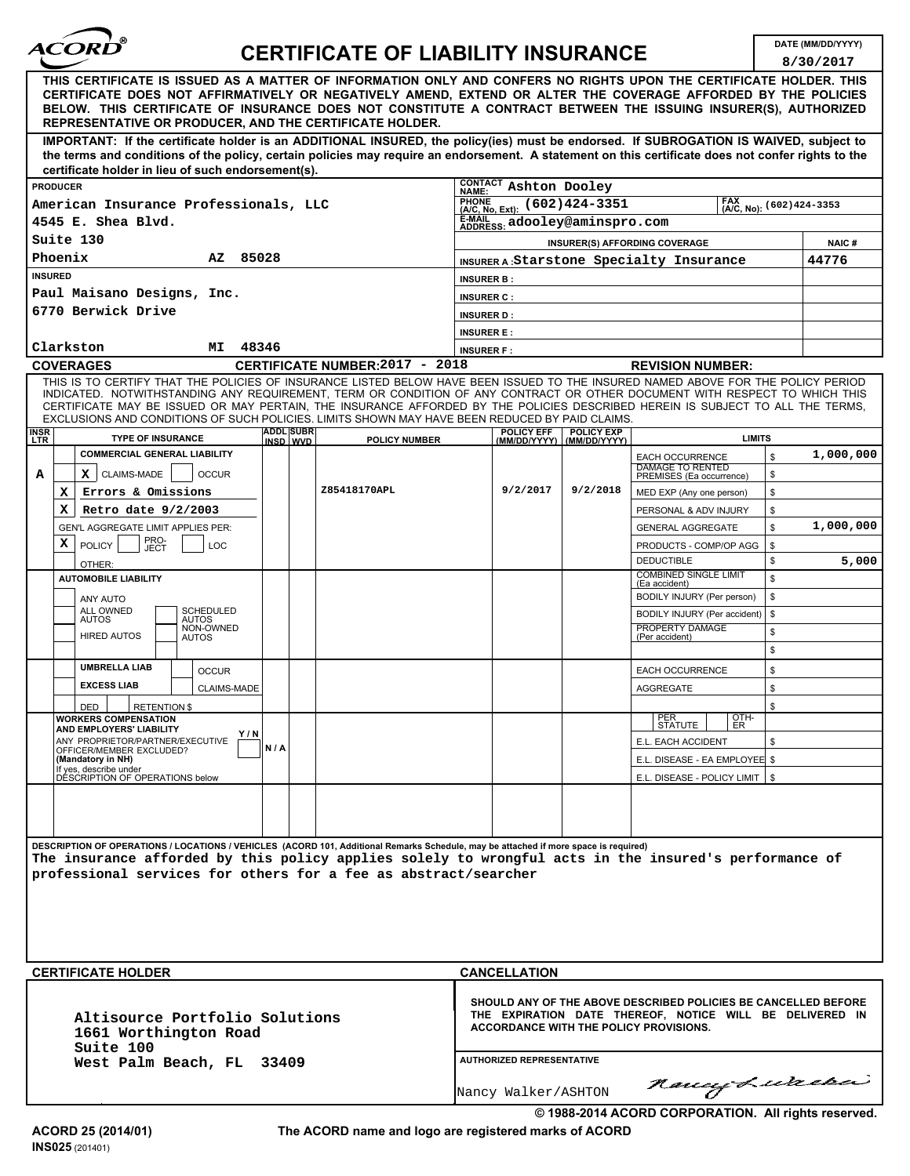| <i><b>ACORD</b></i> |  |
|---------------------|--|
|                     |  |

## **DATE (MM/DD/YYYY) CERTIFICATE OF LIABILITY INSURANCE**

**8/30/2017**

|                                                                                                                                                                                                                                                                                                                                                                                                                  |                                                                                                                                                                             |                                       |                            |                                                                                           | 8/30/2017 |
|------------------------------------------------------------------------------------------------------------------------------------------------------------------------------------------------------------------------------------------------------------------------------------------------------------------------------------------------------------------------------------------------------------------|-----------------------------------------------------------------------------------------------------------------------------------------------------------------------------|---------------------------------------|----------------------------|-------------------------------------------------------------------------------------------|-----------|
| THIS CERTIFICATE IS ISSUED AS A MATTER OF INFORMATION ONLY AND CONFERS NO RIGHTS UPON THE CERTIFICATE HOLDER. THIS<br>CERTIFICATE DOES NOT AFFIRMATIVELY OR NEGATIVELY AMEND, EXTEND OR ALTER THE COVERAGE AFFORDED BY THE POLICIES<br>BELOW. THIS CERTIFICATE OF INSURANCE DOES NOT CONSTITUTE A CONTRACT BETWEEN THE ISSUING INSURER(S), AUTHORIZED<br>REPRESENTATIVE OR PRODUCER, AND THE CERTIFICATE HOLDER. |                                                                                                                                                                             |                                       |                            |                                                                                           |           |
| IMPORTANT: If the certificate holder is an ADDITIONAL INSURED, the policy(ies) must be endorsed. If SUBROGATION IS WAIVED, subject to<br>the terms and conditions of the policy, certain policies may require an endorsement. A statement on this certificate does not confer rights to the                                                                                                                      |                                                                                                                                                                             |                                       |                            |                                                                                           |           |
| certificate holder in lieu of such endorsement(s).                                                                                                                                                                                                                                                                                                                                                               |                                                                                                                                                                             |                                       |                            |                                                                                           |           |
| <b>PRODUCER</b>                                                                                                                                                                                                                                                                                                                                                                                                  |                                                                                                                                                                             | CONTACT Ashton Dooley<br><b>NAME:</b> |                            |                                                                                           |           |
|                                                                                                                                                                                                                                                                                                                                                                                                                  | American Insurance Professionals, LLC<br>FRUNE (602) 424-3351<br>$(A/C, No): (602)424 - 3353$                                                                               |                                       |                            |                                                                                           |           |
| 4545 E. Shea Blvd.                                                                                                                                                                                                                                                                                                                                                                                               |                                                                                                                                                                             | E-MAIL adooley@aminspro.com           |                            |                                                                                           |           |
| Suite 130                                                                                                                                                                                                                                                                                                                                                                                                        |                                                                                                                                                                             |                                       |                            | INSURER(S) AFFORDING COVERAGE                                                             | NAIC#     |
| Phoenix<br>85028<br>AZ                                                                                                                                                                                                                                                                                                                                                                                           |                                                                                                                                                                             |                                       |                            | INSURER A: Starstone Specialty Insurance                                                  | 44776     |
| <b>INSURED</b>                                                                                                                                                                                                                                                                                                                                                                                                   |                                                                                                                                                                             | <b>INSURER B:</b>                     |                            |                                                                                           |           |
| Paul Maisano Designs, Inc.                                                                                                                                                                                                                                                                                                                                                                                       |                                                                                                                                                                             | <b>INSURER C:</b>                     |                            |                                                                                           |           |
| 6770 Berwick Drive                                                                                                                                                                                                                                                                                                                                                                                               |                                                                                                                                                                             | <b>INSURER D:</b>                     |                            |                                                                                           |           |
|                                                                                                                                                                                                                                                                                                                                                                                                                  |                                                                                                                                                                             | <b>INSURER E:</b>                     |                            |                                                                                           |           |
| 48346<br>Clarkston<br>МI                                                                                                                                                                                                                                                                                                                                                                                         |                                                                                                                                                                             | <b>INSURER F:</b>                     |                            |                                                                                           |           |
| <b>COVERAGES</b><br>THIS IS TO CERTIFY THAT THE POLICIES OF INSURANCE LISTED BELOW HAVE BEEN ISSUED TO THE INSURED NAMED ABOVE FOR THE POLICY PERIOD                                                                                                                                                                                                                                                             | CERTIFICATE NUMBER: 2017 - 2018                                                                                                                                             |                                       |                            | <b>REVISION NUMBER:</b>                                                                   |           |
| INDICATED. NOTWITHSTANDING ANY REQUIREMENT, TERM OR CONDITION OF ANY CONTRACT OR OTHER DOCUMENT WITH RESPECT TO WHICH THIS<br>CERTIFICATE MAY BE ISSUED OR MAY PERTAIN, THE INSURANCE AFFORDED BY THE POLICIES DESCRIBED HEREIN IS SUBJECT TO ALL THE TERMS,<br>EXCLUSIONS AND CONDITIONS OF SUCH POLICIES. LIMITS SHOWN MAY HAVE BEEN REDUCED BY PAID CLAIMS.                                                   |                                                                                                                                                                             |                                       |                            |                                                                                           |           |
| <b>INSR</b><br>LTR<br><b>TYPE OF INSURANCE</b>                                                                                                                                                                                                                                                                                                                                                                   | <b>ADDL SUBR</b><br><b>POLICY NUMBER</b><br>INSD WVD                                                                                                                        | POLICY EFF<br>(MM/DD/YYYY)            | POLICY EXP<br>(MM/DD/YYYY) | <b>LIMITS</b>                                                                             |           |
| <b>COMMERCIAL GENERAL LIABILITY</b><br>A<br>CLAIMS-MADE<br><b>OCCUR</b><br>хI                                                                                                                                                                                                                                                                                                                                    |                                                                                                                                                                             |                                       |                            | \$<br><b>EACH OCCURRENCE</b><br><b>DAMAGE TO RENTED</b><br>\$<br>PREMISES (Ea occurrence) | 1,000,000 |
| Errors & Omissions<br>х                                                                                                                                                                                                                                                                                                                                                                                          | Z85418170APL                                                                                                                                                                | 9/2/2017                              | 9/2/2018                   | \$<br>MED EXP (Any one person)                                                            |           |
| Retro date 9/2/2003<br>х                                                                                                                                                                                                                                                                                                                                                                                         |                                                                                                                                                                             |                                       |                            | \$<br>PERSONAL & ADV INJURY                                                               |           |
| GEN'L AGGREGATE LIMIT APPLIES PER:                                                                                                                                                                                                                                                                                                                                                                               |                                                                                                                                                                             |                                       |                            | \$<br><b>GENERAL AGGREGATE</b>                                                            | 1,000,000 |
| PRO-<br>JECT<br>x<br><b>POLICY</b><br><b>LOC</b>                                                                                                                                                                                                                                                                                                                                                                 |                                                                                                                                                                             |                                       |                            | PRODUCTS - COMP/OP AGG<br>\$                                                              |           |
| OTHER:                                                                                                                                                                                                                                                                                                                                                                                                           |                                                                                                                                                                             |                                       |                            | <b>DEDUCTIBLE</b><br>\$                                                                   | 5,000     |
| <b>AUTOMOBILE LIABILITY</b>                                                                                                                                                                                                                                                                                                                                                                                      |                                                                                                                                                                             |                                       |                            | <b>COMBINED SINGLE LIMIT</b><br>\$<br>(Ea accident)                                       |           |
| ANY AUTO                                                                                                                                                                                                                                                                                                                                                                                                         |                                                                                                                                                                             |                                       |                            | \$<br>BODILY INJURY (Per person)                                                          |           |
| <b>ALL OWNED</b><br><b>SCHEDULED</b><br><b>AUTOS</b>                                                                                                                                                                                                                                                                                                                                                             |                                                                                                                                                                             |                                       |                            | BODILY INJURY (Per accident)<br>\$                                                        |           |
| AUTOS<br>NON-OWNED<br><b>HIRED AUTOS</b><br>AUTOS                                                                                                                                                                                                                                                                                                                                                                |                                                                                                                                                                             |                                       |                            | PROPERTY DAMAGE<br>\$<br>(Per accident)                                                   |           |
|                                                                                                                                                                                                                                                                                                                                                                                                                  |                                                                                                                                                                             |                                       |                            | \$                                                                                        |           |
| <b>UMBRELLA LIAB</b><br><b>OCCUR</b>                                                                                                                                                                                                                                                                                                                                                                             |                                                                                                                                                                             |                                       |                            | \$<br><b>EACH OCCURRENCE</b>                                                              |           |
| <b>EXCESS LIAB</b><br>CLAIMS-MADE                                                                                                                                                                                                                                                                                                                                                                                |                                                                                                                                                                             |                                       |                            | \$<br><b>AGGREGATE</b>                                                                    |           |
| <b>RETENTION \$</b><br>DED                                                                                                                                                                                                                                                                                                                                                                                       |                                                                                                                                                                             |                                       |                            | \$                                                                                        |           |
| <b>WORKERS COMPENSATION</b><br>AND EMPLOYERS' LIABILITY<br>Y/N                                                                                                                                                                                                                                                                                                                                                   |                                                                                                                                                                             |                                       |                            | <b>PER PER PER</b><br>$QTH$ -                                                             |           |
| ANY PROPRIETOR/PARTNER/EXECUTIVE<br>OFFICER/MEMBER EXCLUDED?                                                                                                                                                                                                                                                                                                                                                     | N/A                                                                                                                                                                         |                                       |                            | E.L. EACH ACCIDENT<br>\$                                                                  |           |
| (Mandatory in NH)<br>If yes, describe under                                                                                                                                                                                                                                                                                                                                                                      |                                                                                                                                                                             |                                       |                            | E.L. DISEASE - EA EMPLOYEE \$                                                             |           |
| DÉSCRIPTION OF OPERATIONS below                                                                                                                                                                                                                                                                                                                                                                                  |                                                                                                                                                                             |                                       |                            | E.L. DISEASE - POLICY LIMIT $\parallel$ \$                                                |           |
|                                                                                                                                                                                                                                                                                                                                                                                                                  |                                                                                                                                                                             |                                       |                            |                                                                                           |           |
| DESCRIPTION OF OPERATIONS / LOCATIONS / VEHICLES (ACORD 101, Additional Remarks Schedule, may be attached if more space is required)                                                                                                                                                                                                                                                                             |                                                                                                                                                                             |                                       |                            |                                                                                           |           |
| The insurance afforded by this policy applies solely to wrongful acts in the insured's performance of                                                                                                                                                                                                                                                                                                            |                                                                                                                                                                             |                                       |                            |                                                                                           |           |
| professional services for others for a fee as abstract/searcher                                                                                                                                                                                                                                                                                                                                                  |                                                                                                                                                                             |                                       |                            |                                                                                           |           |
|                                                                                                                                                                                                                                                                                                                                                                                                                  |                                                                                                                                                                             |                                       |                            |                                                                                           |           |
|                                                                                                                                                                                                                                                                                                                                                                                                                  |                                                                                                                                                                             |                                       |                            |                                                                                           |           |
|                                                                                                                                                                                                                                                                                                                                                                                                                  |                                                                                                                                                                             |                                       |                            |                                                                                           |           |
|                                                                                                                                                                                                                                                                                                                                                                                                                  |                                                                                                                                                                             |                                       |                            |                                                                                           |           |
| <b>CERTIFICATE HOLDER</b>                                                                                                                                                                                                                                                                                                                                                                                        |                                                                                                                                                                             | <b>CANCELLATION</b>                   |                            |                                                                                           |           |
|                                                                                                                                                                                                                                                                                                                                                                                                                  |                                                                                                                                                                             |                                       |                            |                                                                                           |           |
| Altisource Portfolio Solutions<br>1661 Worthington Road                                                                                                                                                                                                                                                                                                                                                          | SHOULD ANY OF THE ABOVE DESCRIBED POLICIES BE CANCELLED BEFORE<br>THE EXPIRATION DATE THEREOF, NOTICE WILL BE DELIVERED IN<br><b>ACCORDANCE WITH THE POLICY PROVISIONS.</b> |                                       |                            |                                                                                           |           |
| Suite 100<br><b>AUTHORIZED REPRESENTATIVE</b><br>West Palm Beach, FL 33409                                                                                                                                                                                                                                                                                                                                       |                                                                                                                                                                             |                                       |                            |                                                                                           |           |
|                                                                                                                                                                                                                                                                                                                                                                                                                  |                                                                                                                                                                             | Nancy Walker/ASHTON                   |                            | Rancy Lurera                                                                              |           |
| © 1988-2014 ACORD CORPORATION. All rights reserved.                                                                                                                                                                                                                                                                                                                                                              |                                                                                                                                                                             |                                       |                            |                                                                                           |           |

**The ACORD name and logo are registered marks of ACORD**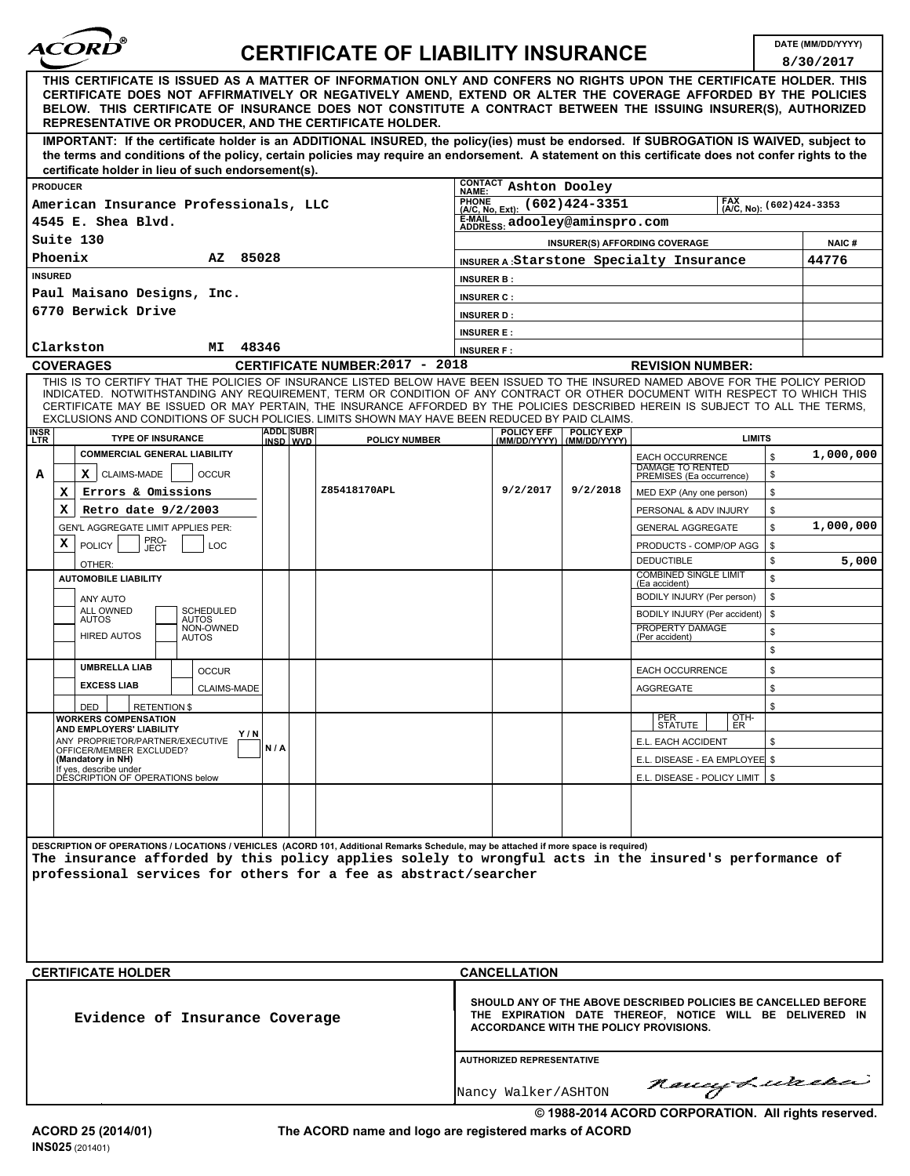| <i><b>ACORD</b></i> |  |
|---------------------|--|
|                     |  |

## **DATE (MM/DD/YYYY) CERTIFICATE OF LIABILITY INSURANCE**

**8/30/2017**

|                                                                                                                                                                                                                                                                                                                                                                                                  |                                  |                                   |                                                                        | 8/30/2017 |
|--------------------------------------------------------------------------------------------------------------------------------------------------------------------------------------------------------------------------------------------------------------------------------------------------------------------------------------------------------------------------------------------------|----------------------------------|-----------------------------------|------------------------------------------------------------------------|-----------|
| THIS CERTIFICATE IS ISSUED AS A MATTER OF INFORMATION ONLY AND CONFERS NO RIGHTS UPON THE CERTIFICATE HOLDER. THIS<br>CERTIFICATE DOES NOT AFFIRMATIVELY OR NEGATIVELY AMEND, EXTEND OR ALTER THE COVERAGE AFFORDED BY THE POLICIES<br>BELOW. THIS CERTIFICATE OF INSURANCE DOES NOT CONSTITUTE A CONTRACT BETWEEN THE ISSUING INSURER(S), AUTHORIZED                                            |                                  |                                   |                                                                        |           |
| REPRESENTATIVE OR PRODUCER, AND THE CERTIFICATE HOLDER.<br>IMPORTANT: If the certificate holder is an ADDITIONAL INSURED, the policy(ies) must be endorsed. If SUBROGATION IS WAIVED, subject to                                                                                                                                                                                                 |                                  |                                   |                                                                        |           |
| the terms and conditions of the policy, certain policies may require an endorsement. A statement on this certificate does not confer rights to the                                                                                                                                                                                                                                               |                                  |                                   |                                                                        |           |
| certificate holder in lieu of such endorsement(s).<br><b>PRODUCER</b>                                                                                                                                                                                                                                                                                                                            | CONTACT Ashton Dooley            |                                   |                                                                        |           |
| American Insurance Professionals, LLC                                                                                                                                                                                                                                                                                                                                                            | NAME:<br>PHUNE (602) 424-3351    |                                   | (A/C, No): (602) 424-3353                                              |           |
| 4545 E. Shea Blvd.                                                                                                                                                                                                                                                                                                                                                                               | E-MAIL adooley@aminspro.com      |                                   |                                                                        |           |
| Suite 130<br><b>INSURER(S) AFFORDING COVERAGE</b>                                                                                                                                                                                                                                                                                                                                                |                                  |                                   |                                                                        | NAIC#     |
| Phoenix<br>85028<br>ΑZ<br>INSURER A: Starstone Specialty Insurance                                                                                                                                                                                                                                                                                                                               |                                  |                                   |                                                                        | 44776     |
| <b>INSURED</b>                                                                                                                                                                                                                                                                                                                                                                                   | <b>INSURER B:</b>                |                                   |                                                                        |           |
| Paul Maisano Designs, Inc.                                                                                                                                                                                                                                                                                                                                                                       | <b>INSURER C:</b>                |                                   |                                                                        |           |
| 6770 Berwick Drive                                                                                                                                                                                                                                                                                                                                                                               | <b>INSURER D:</b>                |                                   |                                                                        |           |
| 48346<br>Clarkston<br>МI                                                                                                                                                                                                                                                                                                                                                                         | <b>INSURER E:</b>                |                                   |                                                                        |           |
| CERTIFICATE NUMBER: 2017 - 2018<br><b>COVERAGES</b>                                                                                                                                                                                                                                                                                                                                              | <b>INSURER F:</b>                |                                   | <b>REVISION NUMBER:</b>                                                |           |
| THIS IS TO CERTIFY THAT THE POLICIES OF INSURANCE LISTED BELOW HAVE BEEN ISSUED TO THE INSURED NAMED ABOVE FOR THE POLICY PERIOD<br>INDICATED. NOTWITHSTANDING ANY REQUIREMENT, TERM OR CONDITION OF ANY CONTRACT OR OTHER DOCUMENT WITH RESPECT TO WHICH THIS<br>CERTIFICATE MAY BE ISSUED OR MAY PERTAIN, THE INSURANCE AFFORDED BY THE POLICIES DESCRIBED HEREIN IS SUBJECT TO ALL THE TERMS, |                                  |                                   |                                                                        |           |
| EXCLUSIONS AND CONDITIONS OF SUCH POLICIES. LIMITS SHOWN MAY HAVE BEEN REDUCED BY PAID CLAIMS.                                                                                                                                                                                                                                                                                                   |                                  |                                   |                                                                        |           |
| <b>ADDL SUBR</b><br><b>INSR</b><br><b>TYPE OF INSURANCE</b><br><b>LTR</b><br>INSD WVD<br><b>POLICY NUMBER</b>                                                                                                                                                                                                                                                                                    | POLICY EFF<br>(MM/DD/YYYY)       | <b>POLICY EXP</b><br>(MM/DD/YYYY) | <b>LIMITS</b>                                                          |           |
| <b>COMMERCIAL GENERAL LIABILITY</b>                                                                                                                                                                                                                                                                                                                                                              |                                  |                                   | \$<br><b>EACH OCCURRENCE</b><br><b>DAMAGE TO RENTED</b>                | 1,000,000 |
| Α<br><b>OCCUR</b><br>$X$   CLAIMS-MADE<br>Z85418170APL<br>Errors & Omissions<br>x                                                                                                                                                                                                                                                                                                                | 9/2/2017                         | 9/2/2018                          | \$<br>PREMISES (Ea occurrence)<br>\$<br>MED EXP (Any one person)       |           |
| Retro date 9/2/2003<br>x                                                                                                                                                                                                                                                                                                                                                                         |                                  |                                   | PERSONAL & ADV INJURY<br>\$                                            |           |
| GEN'L AGGREGATE LIMIT APPLIES PER:                                                                                                                                                                                                                                                                                                                                                               |                                  |                                   | \$<br><b>GENERAL AGGREGATE</b>                                         | 1,000,000 |
| PRO-<br>JECT<br>х<br><b>POLICY</b><br>LOC                                                                                                                                                                                                                                                                                                                                                        |                                  |                                   | PRODUCTS - COMP/OP AGG<br>\$                                           |           |
| OTHER:                                                                                                                                                                                                                                                                                                                                                                                           |                                  |                                   | <b>DEDUCTIBLE</b><br>\$                                                | 5,000     |
| <b>AUTOMOBILE LIABILITY</b>                                                                                                                                                                                                                                                                                                                                                                      |                                  |                                   | <b>COMBINED SINGLE LIMIT</b><br>\$<br>(Ea accident)                    |           |
| ANY AUTO<br>ALL OWNED<br><b>SCHEDULED</b>                                                                                                                                                                                                                                                                                                                                                        |                                  |                                   | BODILY INJURY (Per person)<br>\$<br>BODILY INJURY (Per accident)<br>\$ |           |
| AUTOS<br>AUTOS<br>NON-OWNED                                                                                                                                                                                                                                                                                                                                                                      |                                  |                                   | PROPERTY DAMAGE<br>\$                                                  |           |
| <b>HIRED AUTOS</b><br><b>AUTOS</b>                                                                                                                                                                                                                                                                                                                                                               |                                  |                                   | (Per accident)<br>\$                                                   |           |
| <b>UMBRELLA LIAB</b><br><b>OCCUR</b>                                                                                                                                                                                                                                                                                                                                                             |                                  |                                   | \$<br><b>EACH OCCURRENCE</b>                                           |           |
| <b>EXCESS LIAB</b><br>CLAIMS-MADE                                                                                                                                                                                                                                                                                                                                                                |                                  |                                   | \$<br>AGGREGATE                                                        |           |
| <b>RETENTION \$</b><br><b>DED</b>                                                                                                                                                                                                                                                                                                                                                                |                                  |                                   | \$                                                                     |           |
| <b>WORKERS COMPENSATION</b><br>AND EMPLOYERS' LIABILITY<br>Y/N                                                                                                                                                                                                                                                                                                                                   |                                  |                                   | $\frac{6}{5}$<br>$\left  \frac{\text{PER}}{\text{STATE}} \right $      |           |
| ANY PROPRIETOR/PARTNER/EXECUTIVE<br>N/A<br>OFFICER/MEMBER EXCLUDED?                                                                                                                                                                                                                                                                                                                              |                                  |                                   | E.L. EACH ACCIDENT<br>\$                                               |           |
| (Mandatory in NH)<br>If yes, describe under<br>DESCRIPTION OF OPERATIONS below                                                                                                                                                                                                                                                                                                                   |                                  |                                   | E.L. DISEASE - EA EMPLOYEE \$<br>E.L. DISEASE - POLICY LIMIT   \$      |           |
|                                                                                                                                                                                                                                                                                                                                                                                                  |                                  |                                   |                                                                        |           |
|                                                                                                                                                                                                                                                                                                                                                                                                  |                                  |                                   |                                                                        |           |
|                                                                                                                                                                                                                                                                                                                                                                                                  |                                  |                                   |                                                                        |           |
| DESCRIPTION OF OPERATIONS / LOCATIONS / VEHICLES (ACORD 101, Additional Remarks Schedule, may be attached if more space is required)<br>The insurance afforded by this policy applies solely to wrongful acts in the insured's performance of                                                                                                                                                    |                                  |                                   |                                                                        |           |
| professional services for others for a fee as abstract/searcher                                                                                                                                                                                                                                                                                                                                  |                                  |                                   |                                                                        |           |
|                                                                                                                                                                                                                                                                                                                                                                                                  |                                  |                                   |                                                                        |           |
|                                                                                                                                                                                                                                                                                                                                                                                                  |                                  |                                   |                                                                        |           |
|                                                                                                                                                                                                                                                                                                                                                                                                  |                                  |                                   |                                                                        |           |
|                                                                                                                                                                                                                                                                                                                                                                                                  |                                  |                                   |                                                                        |           |
| <b>CERTIFICATE HOLDER</b>                                                                                                                                                                                                                                                                                                                                                                        | <b>CANCELLATION</b>              |                                   |                                                                        |           |
| SHOULD ANY OF THE ABOVE DESCRIBED POLICIES BE CANCELLED BEFORE<br>THE EXPIRATION DATE THEREOF, NOTICE WILL BE DELIVERED IN<br>Evidence of Insurance Coverage<br><b>ACCORDANCE WITH THE POLICY PROVISIONS.</b>                                                                                                                                                                                    |                                  |                                   |                                                                        |           |
|                                                                                                                                                                                                                                                                                                                                                                                                  | <b>AUTHORIZED REPRESENTATIVE</b> |                                   |                                                                        |           |
|                                                                                                                                                                                                                                                                                                                                                                                                  | Nancy Walker/ASHTON              |                                   | naucy Lurera                                                           |           |
|                                                                                                                                                                                                                                                                                                                                                                                                  |                                  |                                   | © 1988-2014 ACORD CORPORATION. All rights reserved.                    |           |

**The ACORD name and logo are registered marks of ACORD**